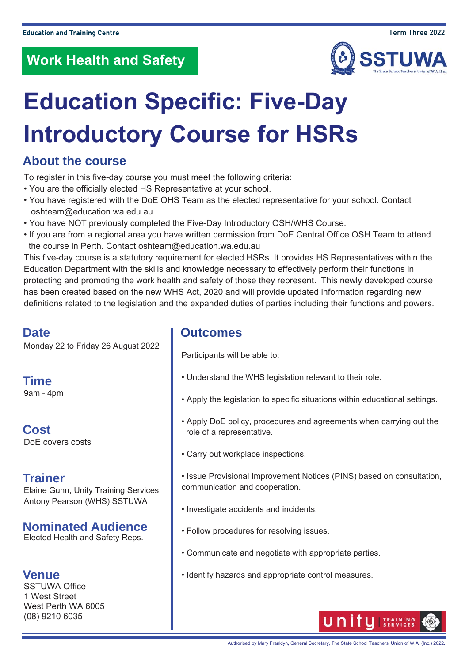

# **Education Specific: Five-Day Introductory Course for HSRs**

### **About the course**

To register in this five-day course you must meet the following criteria:

- You are the officially elected HS Representative at your school.
- You have registered with the DoE OHS Team as the elected representative for your school. Contact oshteam@education.wa.edu.au
- You have NOT previously completed the Five-Day Introductory OSH/WHS Course.
- If you are from a regional area you have written permission from DoE Central Office OSH Team to attend the course in Perth. Contact oshteam@education.wa.edu.au

This five-day course is a statutory requirement for elected HSRs. It provides HS Representatives within the Education Department with the skills and knowledge necessary to effectively perform their functions in protecting and promoting the work health and safety of those they represent. This newly developed course has been created based on the new WHS Act, 2020 and will provide updated information regarding new definitions related to the legislation and the expanded duties of parties including their functions and powers.

#### **Date**

Monday 22 to Friday 26 August 2022

**Time**  9am - 4pm

**Cost**  DoE covers costs

#### **Trainer**

Elaine Gunn, Unity Training Services Antony Pearson (WHS) SSTUWA

#### **Nominated Audience**

Elected Health and Safety Reps.

#### **Venue**

SSTUWA Office 1 West Street West Perth WA 6005 (08) 9210 6035

#### **Outcomes**

Participants will be able to:

- Understand the WHS legislation relevant to their role.
- Apply the legislation to specific situations within educational settings.
- Apply DoE policy, procedures and agreements when carrying out the role of a representative.
- Carry out workplace inspections.
- Issue Provisional Improvement Notices (PINS) based on consultation, communication and cooperation.
- Investigate accidents and incidents.
- Follow procedures for resolving issues.
- Communicate and negotiate with appropriate parties.
- Identify hazards and appropriate control measures.